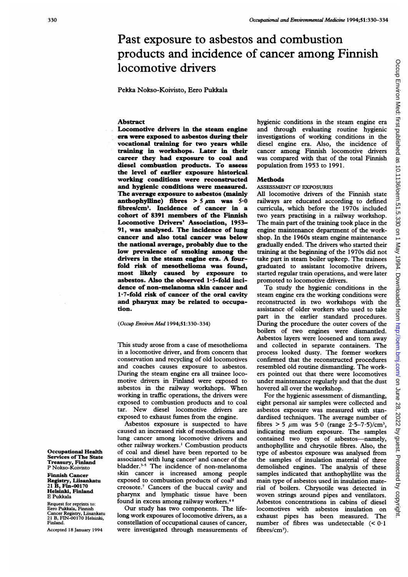# Past exposure to asbestos and combustion products and incidence of cancer among Finnish locomotive drivers

Pekka Nokso-Koivisto, Eero Pukkala

### Abstract

Locomotive drivers in the steam engine era were exposed to asbestos during their vocational training for two years while training in workshops. Later in their career they had exposure to coal and diesel combustion products. To assess the level of earlier exposure historical working conditions were reconstructed and hygienic conditions were measured. The average exposure to asbestos (mainly anthophylline) fibres  $> 5 \mu m$  was  $5.0$ fibres/cm3. Incidence of cancer in a cohort of 8391 members of the Finnish Locomotive Drivers' Association, 1953- 91, was analysed. The incidence of lung cancer and also total cancer was below the national average, probably due to the low prevalence of smoking among the drivers in the steam engine era. A fourfold risk of mesothelioma was found, most likely caused by exposure to asbestos. Also the observed  $1.5$ -fold incidence of non-melanoma skin cancer and  $1.7$ -fold risk of cancer of the oral cavity and pharynx may be related to occupation.

#### (Occup Environ Med 1994;Sl:330-334)

This study arose from a case of mesothelioma in a locomotive driver, and from concern that conservation and recycling of old locomotives and coaches causes exposure to asbestos. During the steam engine era all trainee locomotive drivers in Finland were exposed to asbestos in the railway workshops. When working in traffic operations, the drivers were exposed to combustion products and to coal tar. New diesel locomotive drivers are exposed to exhaust fumes from the engine.

Asbestos exposure is suspected to have caused an increased risk of mesothelioma and lung cancer among locomotive drivers and other railway workers.' Combustion products of coal and diesel have been reported to be associated with lung cancer<sup>2</sup> and cancer of the bladder.<sup>3-5</sup> The incidence of non-melanoma skin cancer is increased among people exposed to combustion products of coal<sup>6</sup> and creosote.<sup>7</sup> Cancers of the buccal cavity and pharynx and lymphatic tissue have been found in excess among railway workers.48

Our study has two components. The lifelong work exposures of locomotive drivers, as a constellation of occupational causes of cancer, were investigated through measurements of hygienic conditions in the steam engine era and through evaluating routine hygienic investigations of working conditions in the diesel engine era. Also, the incidence of cancer among Finnish locomotive drivers was compared with that of the total Finnish population from 1953 to 1991.

#### **Methods**

## ASSESSMENT OF EXPOSURES

All locomotive drivers of the Finnish state railways are educated according to defined curricula, which before the 1970s included two years practising in a railway workshop. The main part of the training took place in the engine maintenance department of the workshop. In the 1960s steam engine maintenance gradually ended. The drivers who started their training at the beginning of the <sup>1</sup> 970s did not take part in steam boiler upkeep. The trainees graduated to assistant locomotive drivers, started regular train operations, and were later promoted to locomotive drivers.

To study the hygienic conditions in the steam engine era the working conditions were reconstructed in two workshops with the assistance of older workers who used to take part in the earlier standard procedures. During the procedure the outer covers of the boilers of two engines were dismantled. Asbestos layers were loosened and torn away and collected in separate containers. The process looked dusty. The former workers confirmed that the reconstructed procedures resembled old routine dismantling. The workers pointed out that there were locomotives under maintenance regularly and that the dust hovered all over the workshop.

For the hygienic assessment of dismantling, eight personal air samples were collected and asbestos exposure was measured with standardised techniques. The average number of fibres > 5  $\mu$ m was 5.0 (range 2.5-7.5)/cm<sup>3</sup>, indicating medium exposure. The samples contained two types of asbestos-namely, anthophyllite and chrysotile fibres. Also, the type of asbestos exposure was analysed from the samples of insulation material of three demolished engines. The analysis of these samples indicated that anthophyllite was the main type of asbestos used in insulation material of boilers. Chrysotile was detected in woven strings around pipes and ventilators. Asbestos concentrations in cabins of diesel locomotives with asbestos insulation on exhaust pipes has been measured. The number of fibres was undetectable  $( $0.1$$ fibres/ $cm<sup>3</sup>$ ).

Occupational Health Services of The State Treasury, Finland P Nokso-Koivisto

Finnish Cancer Registry, Liisankatu 21 B, Fin-00170 Helsinki, Finland E Pukkala

Request for reprints to: Eero Pukkala, Finnish Cancer Registry, Liisankatu 21 B, FIN-00170 Helsinkd, Finland.

Accepted 18 January 1994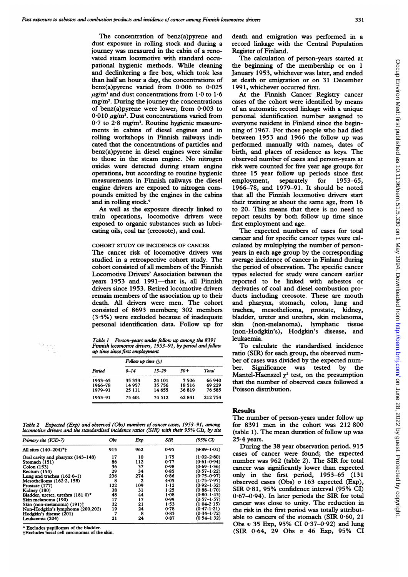The concentration of benz(a)pyrene and dust exposure in rolling stock and during a journey was measured in the cabin of a renovated steam locomotive with standard occupational hygienic methods. While cleaning and declinkering a fire box, which took less than half an hour a day, the concentrations of benz(a)pyrene varied from 0-006 to 0-025  $\mu$ g/m<sup>3</sup> and dust concentrations from 1.0 to 1.6  $mg/m<sup>3</sup>$ . During the journey the concentrations of benz(a)pyrene were lower, from 0-003 to 0.010  $\mu$ g/m<sup>3</sup>. Dust concentrations varied from  $0.7$  to  $2.8$  mg/m<sup>3</sup>. Routine hygienic measurements in cabins of diesel engines and in rolling workshops in Finnish railways indicated that the concentrations of particles and benz(a)pyrene in diesel engines were similar to those in the steam engine. No nitrogen oxides were detected during steam engine operations, but according to routine hygienic measurements in Finnish railways the diesel engine drivers are exposed to nitrogen compounds emitted by the engines in the cabins and in rolling stock.9

As well as the exposure directly linked to train operations, locomotive drivers were exposed to organic substances such as lubricating oils, coal tar (creosote), and coal.

# COHORT STUDY OF INCIDENCE OF CANCER

The cancer risk of locomotive drivers was studied in a retrospective cohort study. The cohort consisted of all members of the Finnish Locomotive Drivers' Association between the years 1953 and 1991-that is, all Finnish drivers since 1953. Retired locomotive drivers remain members of the association up to their death. All drivers were men. The cohort consisted of 8693 members; 302 members (3-5%) were excluded because of inadequate personal identification data. Follow up for

Table 1 Person-years under follow up among the 8391 Finnish locomotive drivers, 1953-91, by period and follow up time since first employment

| Period  | Follow up time $(y)$ |           |       |        |  |  |  |  |
|---------|----------------------|-----------|-------|--------|--|--|--|--|
|         | $0 - 14$             | $15 - 29$ | $30+$ | Total  |  |  |  |  |
| 1953-65 | 35 333               | 24 101    | 7506  | 66 940 |  |  |  |  |
| 1966-78 | 14 957               | 35 756    | 18516 | 69 229 |  |  |  |  |
| 1979-91 | 25 111               | 14 655    | 36819 | 76 585 |  |  |  |  |
| 1953-91 | 75 401               | 74 512    | 62841 | 212754 |  |  |  |  |

Table 2 Expected (Exp) and observed (Obs) numbers of cancer cases, 1953-91, among locomotive drivers and the standardised incidence ratios (SIR) with their 95% CIs, by site

| Primary site (ICD-7)                   | <b>Obs</b> | Exp | <b>SIR</b> | (95% Cl)        |
|----------------------------------------|------------|-----|------------|-----------------|
| All sites (140-204)*+                  | 915        | 962 | 0.95       | $(0.89 - 1.01)$ |
| Oral cavity and pharynx (143–148)      | 17         | 10  | 1.75       | $(1.02 - 2.80)$ |
| Stomach (151)                          | 86         | 112 | 0.77       | $(0.61 - 0.94)$ |
| Colon (153)                            | 36         | 37  | 0.98       | $(0.69 - 1.36)$ |
| Rectum (154)                           | 29         | 34  | 0.85       | $(0.57 - 1.22)$ |
| Lung and trachea $(162.0-1)$           | 236        | 274 | 0.86       | $(0.75 - 0.97)$ |
| Mesothelioma $(162.2, 158)$            | 8          | 2   | 4.05       | (1.75–7.97)     |
| Prostate (177)                         | 122        | 109 | 1.12       | $(0.92 - 1.32)$ |
| <b>Kidney</b> (180)                    | 38         | 31  | 1.25       | $(0.88 - 1.70)$ |
| Bladder, ureter, urethra $(181.0)^*$   | 48         | 44  | $1 - 08$   | (0-80–1-43)     |
| Skin melanoma (190)                    | 17         | 17  | 0.99       | (0·57–1·57)     |
| Skin (non-melanoma) (191) <sup>+</sup> | 32         | 21  | 1.53       | $(1.04 - 2.15)$ |
| Non-Hodgkin's lymphoma (200,202)       | 19         | 24  | 0.78       | $(0.47 - 1.21)$ |
| Hodgkin's disease (201)                | 7          | 8   | 0.83       | $(0.34 - 1.72)$ |
| Leukaemia (204)                        | 21         | 24  | 0.87       | $(0.54 - 1.32)$ |

\* Excludes papillomas of the bladder.

tExcludes basal cell carcinomas of the skin.

death and emigration was performed in a record linkage with the Central Population Register of Finland.

The calculation of person-years started at the beginning of the membership or on <sup>1</sup> January 1953, whichever was later, and ended at death or emigration or on 31 December 1991, whichever occurred first.

At the Finnish Cancer Registry cancer cases of the cohort were identified by means of an automatic record linkage with a unique personal identification number assigned to everyone resident in Finland since the beginning of 1967. For those people who had died between 1953 and 1966 the follow up was performed manually with names, dates of birth, and places of residence as keys. The observed number of cases and person-years at risk were counted for five year age groups for three 15 year follow up periods since first employment, separately for 1953-65, 1966-78, and 1979-91. It should be noted that all the Finnish locomotive drivers start their training at about the same age, from 16 to 20. This means that there is no need to report results by both follow up time since first employment and age.

The expected numbers of cases for total cancer and for specific cancer types were calculated by multiplying the number of personyears in each age group by the corresponding average incidence of cancer in Finland during the period of observation. The specific cancer types selected for study were cancers earlier reported to be linked with asbestos or derivaties of coal and diesel combustion products including creosote. These are mouth and pharynx, stomach, colon, lung and trachea, mesothelioma, prostate, kidney, bladder, ureter and urethra, skin melanoma, skin (non-melanoma), lymphatic tissue (non-Hodgkin's), Hodgkin's disease, and leukaemia.

To calculate the standardized incidence ratio (SIR) for each group, the observed number of cases was divided by the expected number. Significance was tested by the Mantel-Haenszel  $\chi^2$  test, on the presumption that the number of observed cases followed a Poisson distribution.

# Results

The number of person-years under follow up for 8391 men in the cohort was 212 800 (table 1). The mean duration of follow up was  $25.4$  years.

During the 38 year observation period, 915 cases of cancer were found; the expected number was 962 (table 2). The SIR for total cancer was significantly lower than expected only in the first period, 1953-65 (131 observed cases (Obs)  $v$  163 expected (Exp), SIR 0-81, 95% confidence interval (95% CI) 0-67-0-94). In later periods the SIR for total cancer was close to unity. The reduction in the risk in the first period was totally attributable to cancers of the stomach (SIR  $0.60$ , 21 Obs v 35 Exp, 95% CI 0-37-0-92) and lung (SIR 0-64, 29 Obs v 46 Exp, 95% CI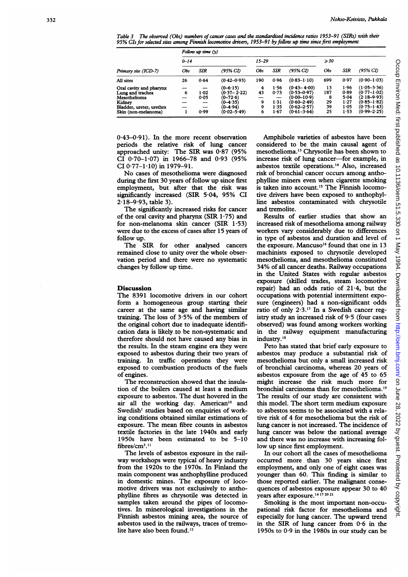Table 3 The observed (Obs) numbers of cancer cases and the standardised incidence ratios 1953-91 (SIRs) with their 95% CIs for selected sites among Finnish locomotive drivers, 1953-91 by follow up time since first employment

| Primary site (ICD-7)                                                                                                     | Follow up time $(y)$ |                          |                                                                                                  |                        |                                      |                                                                                                                |                                  |                                              |                                                                                                                |
|--------------------------------------------------------------------------------------------------------------------------|----------------------|--------------------------|--------------------------------------------------------------------------------------------------|------------------------|--------------------------------------|----------------------------------------------------------------------------------------------------------------|----------------------------------|----------------------------------------------|----------------------------------------------------------------------------------------------------------------|
|                                                                                                                          | $0 - 14$             |                          |                                                                                                  | $15 - 29$              |                                      |                                                                                                                | $\geqslant$ 30                   |                                              |                                                                                                                |
|                                                                                                                          | Obs                  | <b>SIR</b>               | (95% CI)                                                                                         | Obs                    | <b>SIR</b>                           | (95% CI)                                                                                                       | Obs                              | SIR                                          | (95% CI)                                                                                                       |
| All sites                                                                                                                | 26                   | 0.64                     | $(0.42 - 0.93)$                                                                                  | 190                    | 0.96                                 | $(0.83 - 1.10)$                                                                                                | 699                              | 0.97                                         | $(0.90 - 1.03)$                                                                                                |
| Oral cavity and pharynx<br>Lung and trachea<br>Mesothelioma<br>Kidney<br>Bladder, ureter, urethra<br>Skin (non-melanoma) | 6                    | $1 - 02$<br>0.05<br>0.99 | $(0 - 6.15)$<br>$(0.37 - 2.22)$<br>$(0-72.6)$<br>$(0 - 4.35)$<br>$(0 - 4.94)$<br>$(0.02 - 5.49)$ | 4<br>43<br>9<br>9<br>6 | 1.56<br>0.73<br>1.31<br>1.35<br>1.67 | $(0.43 - 4.00)$<br>$(0.53 - 0.97)$<br>$(0.00 - 10.9)$<br>$(0.60 - 2.49)$<br>$(0.62 - 2.57)$<br>$(0.61 - 3.64)$ | 13<br>187<br>8<br>29<br>39<br>25 | 1.96<br>0.89<br>5.04<br>1.27<br>1.05<br>1.53 | $(1.05 - 3.36)$<br>$(0.77 - 1.02)$<br>$(2.18 - 9.93)$<br>$(0.85 - 1.82)$<br>$(0.75 - 1.43)$<br>$(0.99 - 2.25)$ |

 $0.43-0.91$ ). In the more recent observation periods the relative risk of lung cancer approached unity: The SIR was 0-87 (95% CI 0'70-1-07) in 1966-78 and 0-93 (95% CI 0.77-1.10) in 1979-91.

No cases of mesothelioma were diagnosed during the first 30 years of follow up since first employment, but after that the risk was significantly increased (SIR 5.04, 95% CI  $2.18 - 9.93$ , table 3).

The significantly increased risks for cancer of the oral cavity and pharynx (SIR 1-75) and for non-melanoma skin cancer (SIR 1-53) were due to the excess of cases after 15 years of follow up.

The SIR for other analysed cancers remained close to unity over the whole observation period and there were no systematic changes by follow up time.

#### **Discussion**

The 8391 locomotive drivers in our cohort form a homogeneous group starting their career at the same age and having similar training. The loss of 3-5% of the members of the original cohort due to inadequate identification data is likely to be non-systematic and therefore should not have caused any bias in the results. In the steam engine era they were exposed to asbestos during their two years of training. In traffic operations they were exposed to combustion products of the fuels of engines.

The reconstruction showed that the insulation of the boilers caused at least a medium exposure to asbestos. The dust hovered in the air all the working day. American'0 and Swedish' studies based on enquiries of working conditions obtained similar estimations of exposure. The mean fibre counts in asbestos textile factories in the late 1940s and early 1950s have been estimated to be 5-10 fibres/cm<sup>3</sup>.<sup>11</sup>

The levels of asbestos exposure in the railway workshops were typical of heavy industry from the 1920s to the 1970s. In Finland the main component was anthophylline produced in domestic mines. The exposure of locomotive drivers was not exclusively to anthophylline fibres as chrysotile was detected in samples taken around the pipes of locomotives. In minerological investigations in the Finnish asbestos mining area, the source of asbestos used in the railways, traces of tremolite have also been found.'2

Amphibole varieties of asbestos have been considered to be the main causal agent of mesothelioma."3 Chrysotile has been shown to increase risk of lung cancer-for example, in asbestos textile operations.'4 Also, increased risk of bronchial cancer occurs among anthophylline miners even when cigarette smoking is taken into account.<sup>15</sup> The Finnish locomotive drivers have been exposed to anthophylline asbestos contaminated with chrysotile and tremolite.

Results of earlier studies that show an increased risk of mesothelioma among railway workers vary considerably due to differences in type of asbestos and duration and level of the exposure. Mancuso<sup>16</sup> found that one in 13 machinists exposed to chrysotile developed mesothelioma, and mesothelioma constituted 34% of all cancer deaths. Railway occupations in the United States with regular asbestos exposure (skilled trades, steam locomotive repair) had an odds ratio of 21-4, but the occupations with potential intermittent exposure (engineers) had a non-significant odds ratio of only  $2.3$ .<sup>17</sup> In a Swedish cancer registry study an increased risk of 9-5 (four cases observed) was found among workers working in the railway equipment manufacturing industry.<sup>18</sup>

Peto has stated that brief early exposure to asbestos may produce a substantial risk of mesothelioma but only a small increased risk of bronchial carcinoma, whereas 20 years of asbestos exposure from the age of 45 to 65 might increase the risk much more for bronchial carcinoma than for mesothelioma.'9 The results of our study are consistent with this model. The short term medium exposure to asbestos seems to be associated with a relative risk of 4 for mesothelioma but the risk of lung cancer is not increased. The incidence of lung cancer was below the national average and there was no increase with increasing follow up since first employment.

In our cohort all the cases of mesothelioma occurred more than 30 years since first employment, and only one of eight cases was younger than 60. This finding is similar to those reported earlier. The malignant consequences of asbestos exposure appear 30 to 40 years after exposure.<sup>14 17</sup> 20 21

Smoking is the most important non-occupational risk factor for mesothelioma and especially for lung cancer. The upward trend in the SIR of lung cancer from 0-6 in the 1950s to 0-9 in the 1980s in our study can be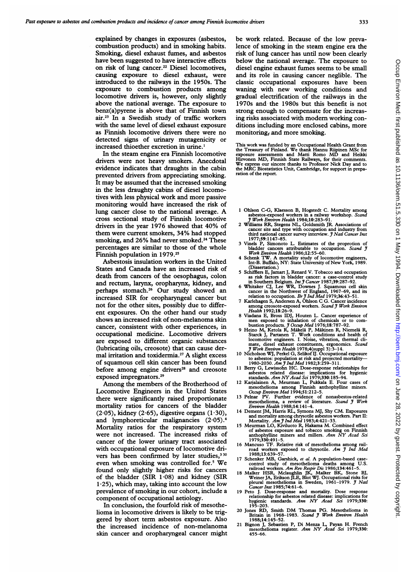explained by changes in exposures (asbestos, combustion products) and in smoking habits. Smoking, diesel exhaust fumes, and asbestos have been suggested to have interactive effects on risk of lung cancer.<sup>22</sup> Diesel locomotives. causing exposure to diesel exhaust, were introduced to the railways in the 1950s. The exposure to combustion products among locomotive drivers is, however, only slightly above the national average. The exposure to benz(a)pyrene is above that of Finnish town air.2' In a Swedish study of traffic workers with the same level of diesel exhaust exposure as Finnish locomotive drivers there were no detected signs of urinary mutagenicity or increased thioether excretion in urine.'

In the steam engine era Finnish locomotive drivers were not heavy smokers. Anecdotal evidence indicates that draughts in the cabin prevented drivers from appreciating smoking. It may be assumed that the increased smoking in the less draughty cabins of diesel locomotives with less physical work and more passive monitoring would have increased the risk of lung cancer close to the national average. A cross sectional study of Finnish locomotive drivers in the year 1976 showed that 40% of them were current smokers, 34% had stopped smoking, and 26% had never smoked.<sup>24</sup> These percentages are similar to those of the whole Finnish population in 1979.25

Asbestosis insulation workers in the United States and Canada have an increased risk of death from cancers of the oesophagus, colon and rectum, larynx, oropharynx, kidney, and perhaps stomach.26 Our study showed an increased SIR for oropharyngeal cancer but not for the other sites, possibly due to different exposures. On the other hand our study shows an increased risk of non-melanoma skin cancer, consistent with other experiences, in occupational medicine. Locomotive drivers are exposed to different organic substances (lubricating oils, creosote) that can cause dermal irritation and toxidermia.<sup>27</sup> A slight excess of squamous cell skin cancer has been found before among engine drivers<sup>28</sup> and creosote exposed impregnators.<sup>29</sup>

Among the members of the Brotherhood of Locomotive Engineers in the United States there were significantly raised proportionate mortality ratios for cancers of the bladder  $(2.05)$ , kidney  $(2.65)$ , digestive organs  $(1.30)$ , and lymphoreticular malignancies  $(2.05).4$ Mortality ratios for the respiratory system were not increased. The increased risks of cancer of the lower urinary tract associated with occupational exposure of locomotive drivers has been confirmed by later studies,<sup>330</sup> even when smoking was controlled for.5 We found only slightly higher risks for cancers of the bladder (SIR 1-08) and kidney (SIR  $1.25$ ), which may, taking into account the low prevalence of smoking in our cohort, include a component of occupational aetiology.

In conclusion, the fourfold risk of mesothelioma in locomotive drivers is likely to be triggered by short term asbestos exposure. Also the increased incidence of non-melanoma skin cancer and oropharyngeal cancer might be work related. Because of the low prevalence of smoking in the steam engine era the risk of lung cancer has until now been clearly below the national average. The exposure to diesel engine exhaust fumes seems to be small and its role in causing cancer neglible. The classic occupational exposures have been waning with new working conditions and gradual electrification of the railways in the 1970s and the 1980s but this benefit is not strong enough to compensate for the increasing risks associated with modem working conditions including more enclosed cabins, more monitoring, and more smoking.

This work was funded by an Occupational Health Grant from the Treasury of Finland. We thank Hannu Riipinen MSc for exposure assessments and Matti Romo MD and Heikki Hirvonen MD, Finnish State Railways, for their comments. We express our sincere thanks to Professor Nick Day and to the MRC Biostatistics Unit, Cambridge, for support in preparation of the report.

- <sup>1</sup> OhIson C-G, Klaesson B, Hogstedt C. Mortality among asbestos-exposed workers in a railway workshop. Scand asbestos-exposed workers in a railway<br>*J Work Environ Health* 1984;10:283-91.
- 2 Williams RR, Stegens NL, Goldsmith JR. Associations of cancer site and type with occupation and industry from third national cancer survey interview. J Natl Cancer Inst<br>1977:59:1147–85.
- 1977;59:1147-85.<br>3 Vinels P, Simonoto L. Estimates of the proprotion of<br>bladder cancers attributable to occupation. Scand J<br>Work Environ Health 1986;12:55-60.
- 4 Schenk TW. A mortality study of locomotive engineers, Int-B. Buffalo, NY: State University of New York, 1989.
- 
- Unsertation.)<br>
5 Schifflers E, Jamart J, Renard V. Tobacco and occupation<br>
as risk factors in bladder cancer: a case-control study<br>
in Southern Belgium. *Im 3 Cancer* 1987;39:287-92.<br>
6 Whitaker CJ, Lee WR, Downes J. Squa
- 
- 
- Health 1992;18:26-9.<br>
8 Vialana E, Bross IDJ, Houten L. Cancer experience of<br>
men exposed to inhalation of chemicals or to com-<br>
bustion products. *J Occup Med* 1976;18:787-92.<br>
9 Heino M, Ketola R, Makela P, Makinen R, Ni
- 
- 
- to asbestos: population at risk and projected mortality—<br>1980-2030. Am J md Med 1982;3:259-311.<br>11 Berry G, Lewissohn HC. Dose-response relationships for<br>asbestos related disease: implications for hygienic<br>12 Karjalainen
- 
- 
- anthophylline miners and millers. Ann NY Acad Sci 1979;330:491-5.
- 16 Mancuso TF. Relative risk of mesothelioma among railroad workers exposed to chrysotile. Am J Ind Med 1988;13:639-57.
- 
- 17 Schenker MB, Garshick, et al. A population-based case-<br>control study of mesothelioma deaths among U.S.<br>railroad workers. Am Rev Respir Dis 1986;134:461-5.<br>Halker HSR, Mclaughlin JK, Malker BK, Stone BJ,<br>Weiner JA, Eriks pleural mesothelioma in Sweden, 1961-1979. J Natl Cancer Inst 1985;74:61-6.
- 19 Peto J. Dose-response and mortality. Dose response relationship for asbestos related disease: implications for hygienic standards. Ann NY Acad Sci 1979;330: 195-203.
- 20 Jones RD, Smith DM Thomas PG. Mesothelioma in Britain in 1968-1983. Scand J Work Environ Health 1988;14:145-52.
- 21 Bignon J, Sebastien P, Di Menza L, Payan H. French mesothelioma register. Ann NY Acad Sci 1979;330: 455-66.